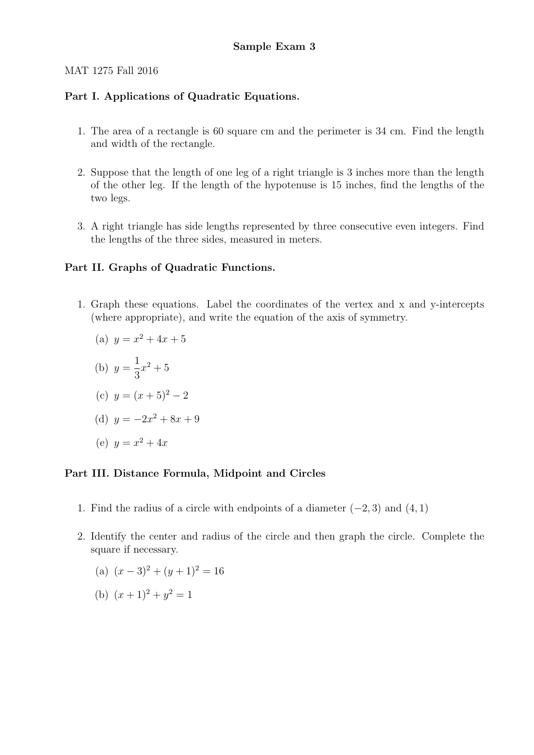#### MAT 1275 Fall 2016

### Part I. Applications of Quadratic Equations.

- 1. The area of a rectangle is 60 square cm and the perimeter is 34 cm. Find the length and width of the rectangle.
- 2. Suppose that the length of one leg of a right triangle is 3 inches more than the length of the other leg. If the length of the hypotenuse is 15 inches, find the lengths of the two legs.
- 3. A right triangle has side lengths represented by three consecutive even integers. Find the lengths of the three sides, measured in meters.

### Part II. Graphs of Quadratic Functions.

1. Graph these equations. Label the coordinates of the vertex and x and y-intercepts (where appropriate), and write the equation of the axis of symmetry.

(a) 
$$
y = x^2 + 4x + 5
$$
  
\n(b)  $y = \frac{1}{3}x^2 + 5$   
\n(c)  $y = (x+5)^2 - 2$   
\n(d)  $y = -2x^2 + 8x + 9$   
\n(e)  $y = x^2 + 4x$ 

## Part III. Distance Formula, Midpoint and Circles

- 1. Find the radius of a circle with endpoints of a diameter  $(-2, 3)$  and  $(4, 1)$
- 2. Identify the center and radius of the circle and then graph the circle. Complete the square if necessary.
	- (a)  $(x-3)^2 + (y+1)^2 = 16$
	- (b)  $(x+1)^2 + y^2 = 1$